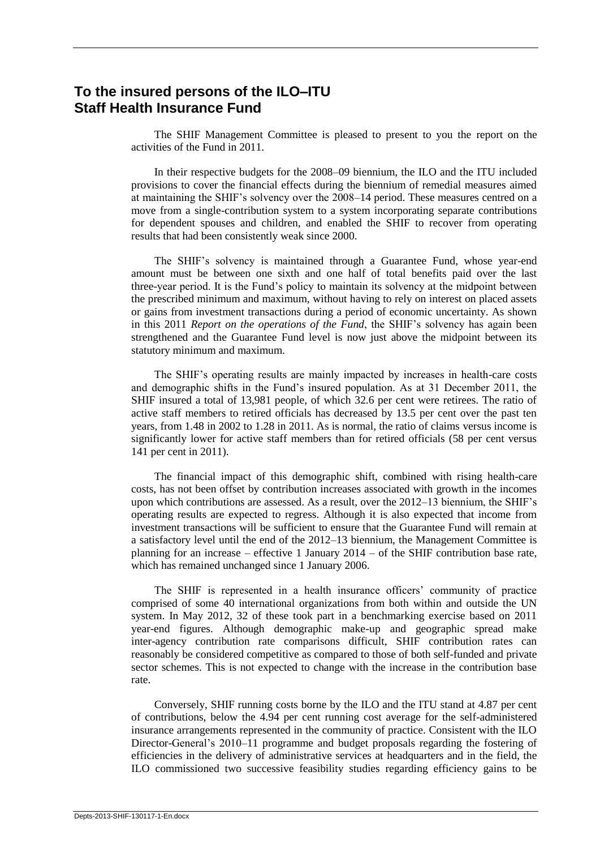# **To the insured persons of the ILO–ITU Staff Health Insurance Fund**

The SHIF Management Committee is pleased to present to you the report on the activities of the Fund in 2011.

In their respective budgets for the 2008–09 biennium, the ILO and the ITU included provisions to cover the financial effects during the biennium of remedial measures aimed at maintaining the SHIF's solvency over the 2008–14 period. These measures centred on a move from a single-contribution system to a system incorporating separate contributions for dependent spouses and children, and enabled the SHIF to recover from operating results that had been consistently weak since 2000.

The SHIF's solvency is maintained through a Guarantee Fund, whose year-end amount must be between one sixth and one half of total benefits paid over the last three-year period. It is the Fund's policy to maintain its solvency at the midpoint between the prescribed minimum and maximum, without having to rely on interest on placed assets or gains from investment transactions during a period of economic uncertainty. As shown in this 2011 *Report on the operations of the Fund*, the SHIF's solvency has again been strengthened and the Guarantee Fund level is now just above the midpoint between its statutory minimum and maximum.

The SHIF's operating results are mainly impacted by increases in health-care costs and demographic shifts in the Fund's insured population. As at 31 December 2011, the SHIF insured a total of 13,981 people, of which 32.6 per cent were retirees. The ratio of active staff members to retired officials has decreased by 13.5 per cent over the past ten years, from 1.48 in 2002 to 1.28 in 2011. As is normal, the ratio of claims versus income is significantly lower for active staff members than for retired officials (58 per cent versus 141 per cent in 2011).

The financial impact of this demographic shift, combined with rising health-care costs, has not been offset by contribution increases associated with growth in the incomes upon which contributions are assessed. As a result, over the 2012–13 biennium, the SHIF's operating results are expected to regress. Although it is also expected that income from investment transactions will be sufficient to ensure that the Guarantee Fund will remain at a satisfactory level until the end of the 2012–13 biennium, the Management Committee is planning for an increase – effective 1 January 2014 – of the SHIF contribution base rate, which has remained unchanged since 1 January 2006.

The SHIF is represented in a health insurance officers' community of practice comprised of some 40 international organizations from both within and outside the UN system. In May 2012, 32 of these took part in a benchmarking exercise based on 2011 year-end figures. Although demographic make-up and geographic spread make inter-agency contribution rate comparisons difficult, SHIF contribution rates can reasonably be considered competitive as compared to those of both self-funded and private sector schemes. This is not expected to change with the increase in the contribution base rate.

Conversely, SHIF running costs borne by the ILO and the ITU stand at 4.87 per cent of contributions, below the 4.94 per cent running cost average for the self-administered insurance arrangements represented in the community of practice. Consistent with the ILO Director-General's 2010–11 programme and budget proposals regarding the fostering of efficiencies in the delivery of administrative services at headquarters and in the field, the ILO commissioned two successive feasibility studies regarding efficiency gains to be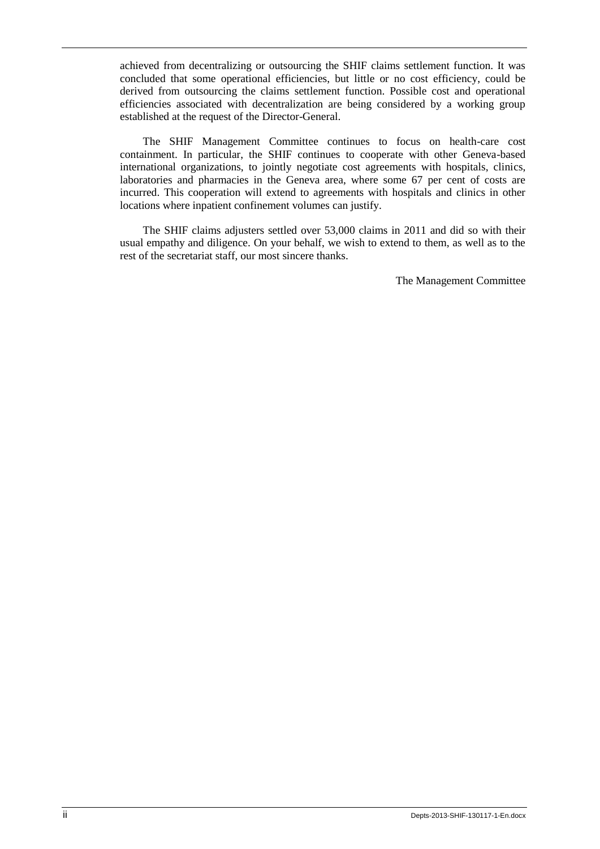achieved from decentralizing or outsourcing the SHIF claims settlement function. It was concluded that some operational efficiencies, but little or no cost efficiency, could be derived from outsourcing the claims settlement function. Possible cost and operational efficiencies associated with decentralization are being considered by a working group established at the request of the Director-General.

The SHIF Management Committee continues to focus on health-care cost containment. In particular, the SHIF continues to cooperate with other Geneva-based international organizations, to jointly negotiate cost agreements with hospitals, clinics, laboratories and pharmacies in the Geneva area, where some 67 per cent of costs are incurred. This cooperation will extend to agreements with hospitals and clinics in other locations where inpatient confinement volumes can justify.

The SHIF claims adjusters settled over 53,000 claims in 2011 and did so with their usual empathy and diligence. On your behalf, we wish to extend to them, as well as to the rest of the secretariat staff, our most sincere thanks.

The Management Committee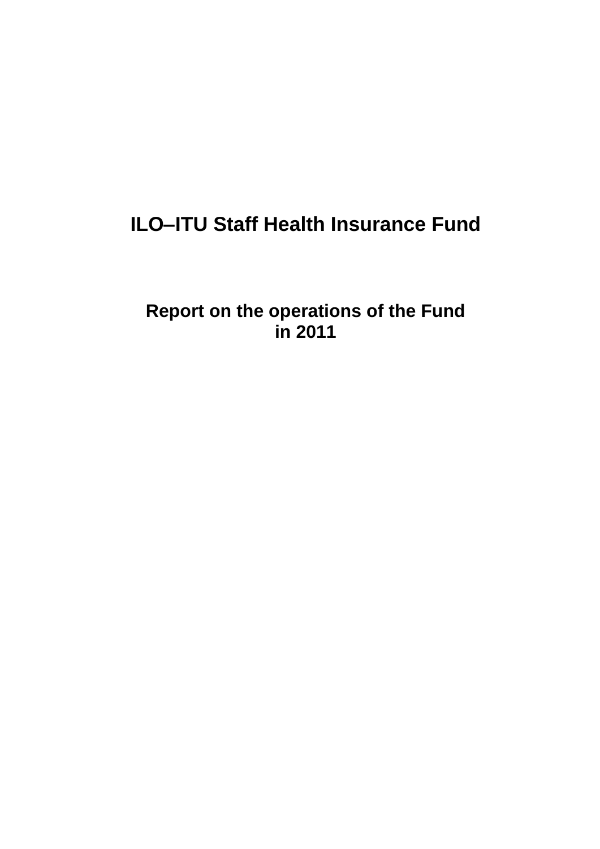# **ILO–ITU Staff Health Insurance Fund**

**Report on the operations of the Fund in 2011**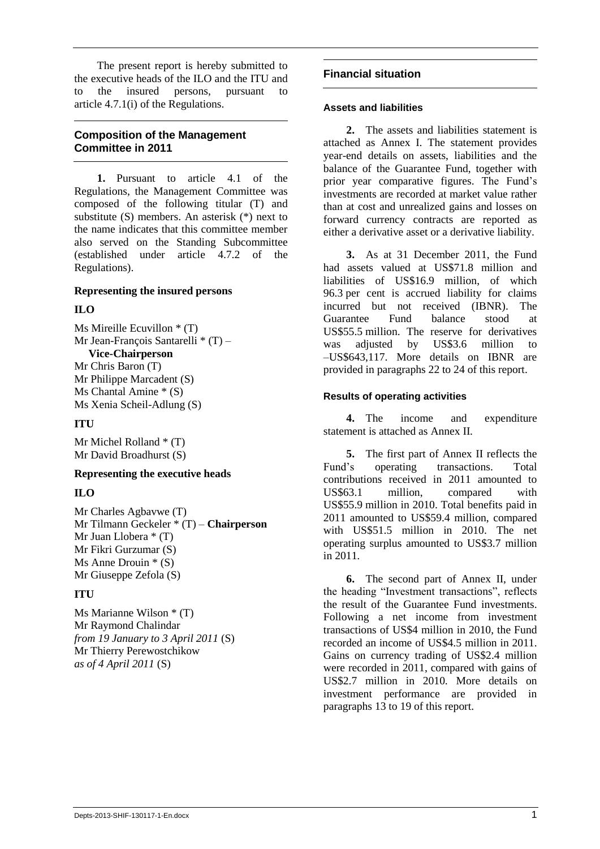The present report is hereby submitted to the executive heads of the ILO and the ITU and to the insured persons, pursuant to article 4.7.1(i) of the Regulations.

# **Composition of the Management Committee in 2011**

**1.** Pursuant to article 4.1 of the Regulations, the Management Committee was composed of the following titular (T) and substitute (S) members. An asterisk (\*) next to the name indicates that this committee member also served on the Standing Subcommittee (established under article 4.7.2 of the Regulations).

### **Representing the insured persons**

# **ILO**

Ms Mireille Ecuvillon \* (T) Mr Jean-François Santarelli \* (T) – **Vice-Chairperson** Mr Chris Baron (T) Mr Philippe Marcadent (S)

Ms Chantal Amine \* (S) Ms Xenia Scheil-Adlung (S)

# **ITU**

Mr Michel Rolland \* (T) Mr David Broadhurst (S)

# **Representing the executive heads**

# **ILO**

Mr Charles Agbavwe (T) Mr Tilmann Geckeler \* (T) – **Chairperson** Mr Juan Llobera \* (T) Mr Fikri Gurzumar (S) Ms Anne Drouin \* (S) Mr Giuseppe Zefola (S)

# **ITU**

Ms Marianne Wilson \* (T) Mr Raymond Chalindar *from 19 January to 3 April 2011* (S) Mr Thierry Perewostchikow *as of 4 April 2011* (S)

# **Financial situation**

### **Assets and liabilities**

**2.** The assets and liabilities statement is attached as Annex I. The statement provides year-end details on assets, liabilities and the balance of the Guarantee Fund, together with prior year comparative figures. The Fund's investments are recorded at market value rather than at cost and unrealized gains and losses on forward currency contracts are reported as either a derivative asset or a derivative liability.

**3.** As at 31 December 2011, the Fund had assets valued at US\$71.8 million and liabilities of US\$16.9 million, of which 96.3 per cent is accrued liability for claims incurred but not received (IBNR). The Guarantee Fund balance stood at US\$55.5 million. The reserve for derivatives was adjusted by US\$3.6 million to –US\$643,117. More details on IBNR are provided in paragraphs 22 to 24 of this report.

### **Results of operating activities**

**4.** The income and expenditure statement is attached as Annex II.

**5.** The first part of Annex II reflects the Fund's operating transactions. Total contributions received in 2011 amounted to US\$63.1 million, compared with US\$55.9 million in 2010. Total benefits paid in 2011 amounted to US\$59.4 million, compared with US\$51.5 million in 2010. The net operating surplus amounted to US\$3.7 million in 2011.

**6.** The second part of Annex II, under the heading "Investment transactions", reflects the result of the Guarantee Fund investments. Following a net income from investment transactions of US\$4 million in 2010, the Fund recorded an income of US\$4.5 million in 2011. Gains on currency trading of US\$2.4 million were recorded in 2011, compared with gains of US\$2.7 million in 2010. More details on investment performance are provided in paragraphs 13 to 19 of this report.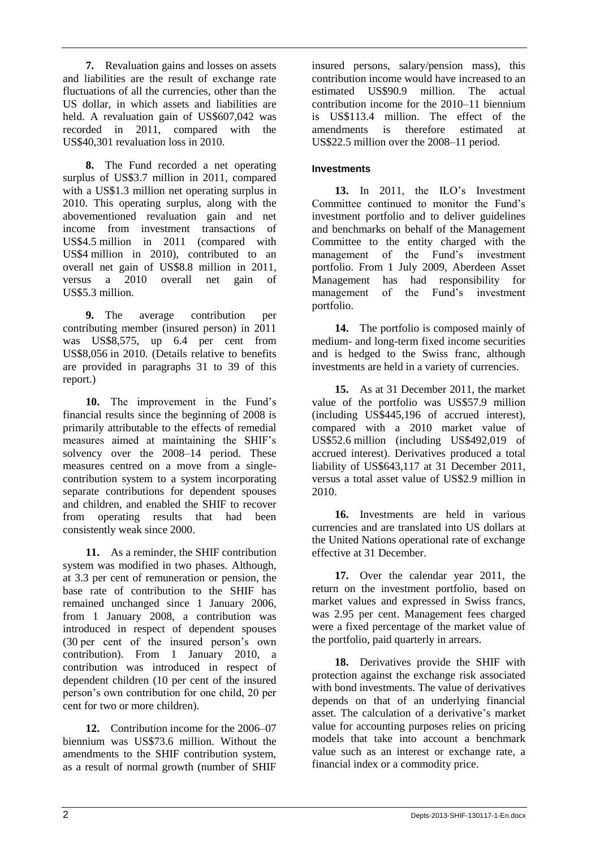**7.** Revaluation gains and losses on assets and liabilities are the result of exchange rate fluctuations of all the currencies, other than the US dollar, in which assets and liabilities are held. A revaluation gain of US\$607,042 was recorded in 2011, compared with the US\$40,301 revaluation loss in 2010.

**8.** The Fund recorded a net operating surplus of US\$3.7 million in 2011, compared with a US\$1.3 million net operating surplus in 2010. This operating surplus, along with the abovementioned revaluation gain and net income from investment transactions of US\$4.5 million in 2011 (compared with US\$4 million in 2010), contributed to an overall net gain of US\$8.8 million in 2011, versus a 2010 overall net gain of US\$5.3 million.

**9.** The average contribution per contributing member (insured person) in 2011 was US\$8,575, up 6.4 per cent from US\$8,056 in 2010. (Details relative to benefits are provided in paragraphs 31 to 39 of this report.)

**10.** The improvement in the Fund's financial results since the beginning of 2008 is primarily attributable to the effects of remedial measures aimed at maintaining the SHIF's solvency over the 2008–14 period. These measures centred on a move from a singlecontribution system to a system incorporating separate contributions for dependent spouses and children, and enabled the SHIF to recover from operating results that had been consistently weak since 2000.

**11.** As a reminder, the SHIF contribution system was modified in two phases. Although, at 3.3 per cent of remuneration or pension, the base rate of contribution to the SHIF has remained unchanged since 1 January 2006, from 1 January 2008, a contribution was introduced in respect of dependent spouses (30 per cent of the insured person's own contribution). From 1 January 2010, a contribution was introduced in respect of dependent children (10 per cent of the insured person's own contribution for one child, 20 per cent for two or more children).

**12.** Contribution income for the 2006–07 biennium was US\$73.6 million. Without the amendments to the SHIF contribution system, as a result of normal growth (number of SHIF insured persons, salary/pension mass), this contribution income would have increased to an estimated US\$90.9 million. The actual contribution income for the 2010–11 biennium is US\$113.4 million. The effect of the amendments is therefore estimated at US\$22.5 million over the 2008–11 period.

# **Investments**

**13.** In 2011, the ILO's Investment Committee continued to monitor the Fund's investment portfolio and to deliver guidelines and benchmarks on behalf of the Management Committee to the entity charged with the management of the Fund's investment portfolio. From 1 July 2009, Aberdeen Asset Management has had responsibility for management of the Fund's investment portfolio.

**14.** The portfolio is composed mainly of medium- and long-term fixed income securities and is hedged to the Swiss franc, although investments are held in a variety of currencies.

**15.** As at 31 December 2011, the market value of the portfolio was US\$57.9 million (including US\$445,196 of accrued interest), compared with a 2010 market value of US\$52.6 million (including US\$492,019 of accrued interest). Derivatives produced a total liability of US\$643,117 at 31 December 2011, versus a total asset value of US\$2.9 million in 2010.

**16.** Investments are held in various currencies and are translated into US dollars at the United Nations operational rate of exchange effective at 31 December.

**17.** Over the calendar year 2011, the return on the investment portfolio, based on market values and expressed in Swiss francs, was 2.95 per cent. Management fees charged were a fixed percentage of the market value of the portfolio, paid quarterly in arrears.

**18.** Derivatives provide the SHIF with protection against the exchange risk associated with bond investments. The value of derivatives depends on that of an underlying financial asset. The calculation of a derivative's market value for accounting purposes relies on pricing models that take into account a benchmark value such as an interest or exchange rate, a financial index or a commodity price.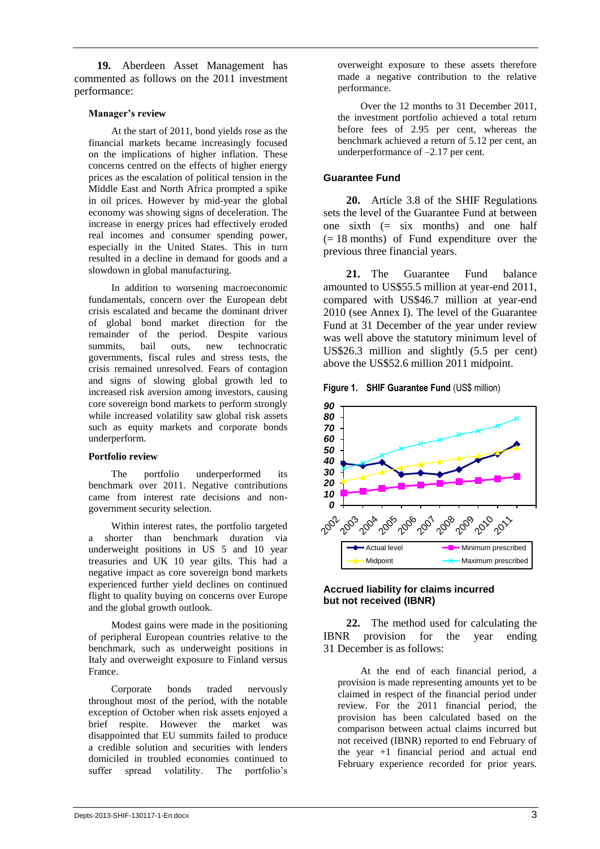**19.** Aberdeen Asset Management has commented as follows on the 2011 investment performance:

#### **Manager's review**

At the start of 2011, bond yields rose as the financial markets became increasingly focused on the implications of higher inflation. These concerns centred on the effects of higher energy prices as the escalation of political tension in the Middle East and North Africa prompted a spike in oil prices. However by mid-year the global economy was showing signs of deceleration. The increase in energy prices had effectively eroded real incomes and consumer spending power, especially in the United States. This in turn resulted in a decline in demand for goods and a slowdown in global manufacturing.

In addition to worsening macroeconomic fundamentals, concern over the European debt crisis escalated and became the dominant driver of global bond market direction for the remainder of the period. Despite various summits, bail outs, new technocratic governments, fiscal rules and stress tests, the crisis remained unresolved. Fears of contagion and signs of slowing global growth led to increased risk aversion among investors, causing core sovereign bond markets to perform strongly while increased volatility saw global risk assets such as equity markets and corporate bonds underperform.

#### **Portfolio review**

The portfolio underperformed its benchmark over 2011. Negative contributions came from interest rate decisions and nongovernment security selection.

Within interest rates, the portfolio targeted a shorter than benchmark duration via underweight positions in US 5 and 10 year treasuries and UK 10 year gilts. This had a negative impact as core sovereign bond markets experienced further yield declines on continued flight to quality buying on concerns over Europe and the global growth outlook.

Modest gains were made in the positioning of peripheral European countries relative to the benchmark, such as underweight positions in Italy and overweight exposure to Finland versus France.

Corporate bonds traded nervously throughout most of the period, with the notable exception of October when risk assets enjoyed a brief respite. However the market was disappointed that EU summits failed to produce a credible solution and securities with lenders domiciled in troubled economies continued to suffer spread volatility. The portfolio's

overweight exposure to these assets therefore made a negative contribution to the relative performance.

Over the 12 months to 31 December 2011, the investment portfolio achieved a total return before fees of 2.95 per cent, whereas the benchmark achieved a return of 5.12 per cent, an underperformance of –2.17 per cent.

### **Guarantee Fund**

**20.** Article 3.8 of the SHIF Regulations sets the level of the Guarantee Fund at between one sixth  $(= six$  months) and one half  $(= 18$  months) of Fund expenditure over the previous three financial years.

**21.** The Guarantee Fund balance amounted to US\$55.5 million at year-end 2011, compared with US\$46.7 million at year-end 2010 (see Annex I). The level of the Guarantee Fund at 31 December of the year under review was well above the statutory minimum level of US\$26.3 million and slightly (5.5 per cent) above the US\$52.6 million 2011 midpoint.

**Figure 1. SHIF Guarantee Fund (US\$ million)** 



### **Accrued liability for claims incurred but not received (IBNR)**

**22.** The method used for calculating the IBNR provision for the year ending 31 December is as follows:

At the end of each financial period, a provision is made representing amounts yet to be claimed in respect of the financial period under review. For the 2011 financial period, the provision has been calculated based on the comparison between actual claims incurred but not received (IBNR) reported to end February of the year +1 financial period and actual end February experience recorded for prior years.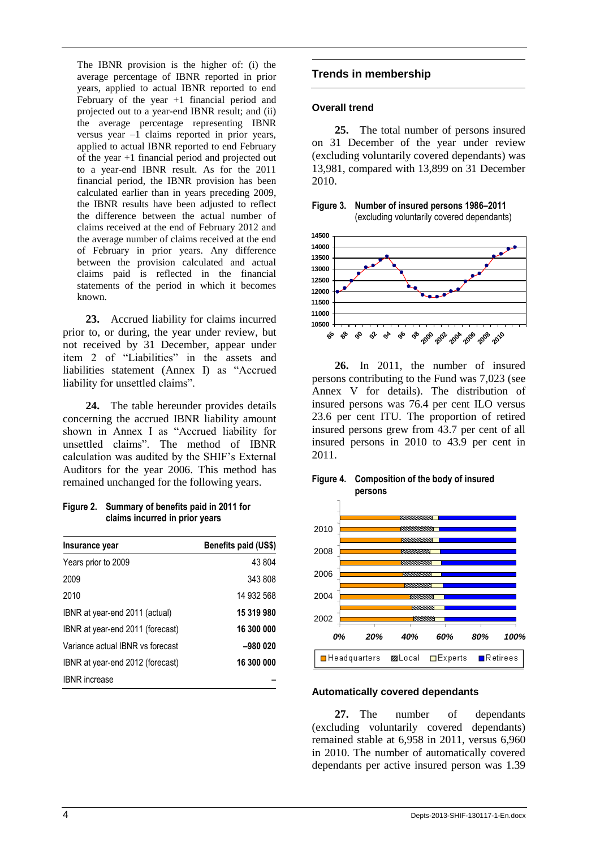The IBNR provision is the higher of: (i) the average percentage of IBNR reported in prior years, applied to actual IBNR reported to end February of the year +1 financial period and projected out to a year-end IBNR result; and (ii) the average percentage representing IBNR versus year –1 claims reported in prior years, applied to actual IBNR reported to end February of the year +1 financial period and projected out to a year-end IBNR result. As for the 2011 financial period, the IBNR provision has been calculated earlier than in years preceding 2009, the IBNR results have been adjusted to reflect the difference between the actual number of claims received at the end of February 2012 and the average number of claims received at the end of February in prior years. Any difference between the provision calculated and actual claims paid is reflected in the financial statements of the period in which it becomes known.

**23.** Accrued liability for claims incurred prior to, or during, the year under review, but not received by 31 December, appear under item 2 of "Liabilities" in the assets and liabilities statement (Annex I) as "Accrued liability for unsettled claims".

**24.** The table hereunder provides details concerning the accrued IBNR liability amount shown in Annex I as "Accrued liability for unsettled claims". The method of IBNR calculation was audited by the SHIF's External Auditors for the year 2006. This method has remained unchanged for the following years.

**Figure 2. Summary of benefits paid in 2011 for claims incurred in prior years**

| Insurance year                   | Benefits paid (US\$) |
|----------------------------------|----------------------|
| Years prior to 2009              | 43 804               |
| 2009                             | 343 808              |
| 2010                             | 14 932 568           |
| IBNR at year-end 2011 (actual)   | 15 319 980           |
| IBNR at year-end 2011 (forecast) | 16 300 000           |
| Variance actual IBNR vs forecast | $-980020$            |
| IBNR at year-end 2012 (forecast) | 16 300 000           |
| <b>IBNR</b> increase             |                      |

# **Trends in membership**

### **Overall trend**

**25.** The total number of persons insured on 31 December of the year under review (excluding voluntarily covered dependants) was 13,981, compared with 13,899 on 31 December 2010.





**26.** In 2011, the number of insured persons contributing to the Fund was 7,023 (see Annex V for details). The distribution of insured persons was 76.4 per cent ILO versus 23.6 per cent ITU. The proportion of retired insured persons grew from 43.7 per cent of all insured persons in 2010 to 43.9 per cent in 2011.





#### **Automatically covered dependants**

**27.** The number of dependants (excluding voluntarily covered dependants) remained stable at 6,958 in 2011, versus 6,960 in 2010. The number of automatically covered dependants per active insured person was 1.39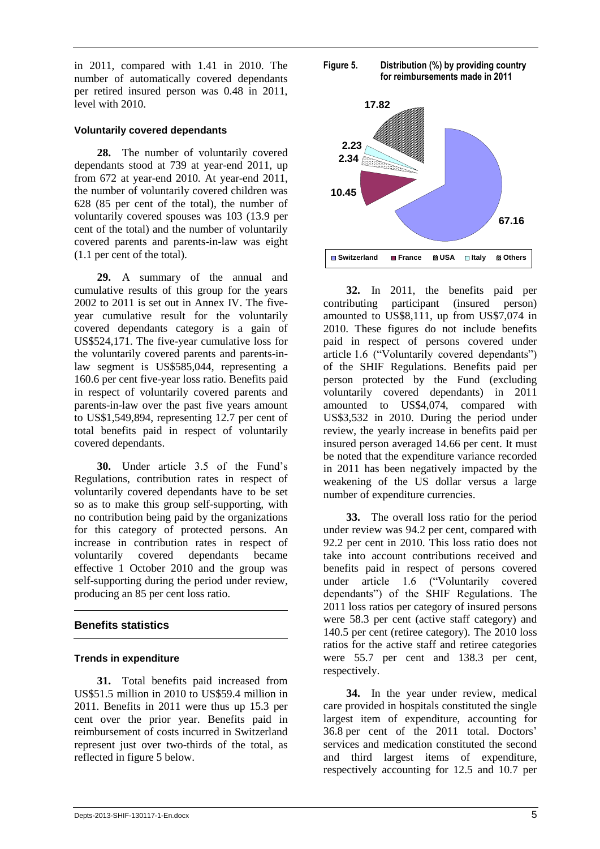in 2011, compared with 1.41 in 2010. The number of automatically covered dependants per retired insured person was 0.48 in 2011, level with 2010.

### **Voluntarily covered dependants**

**28.** The number of voluntarily covered dependants stood at 739 at year-end 2011, up from 672 at year-end 2010. At year-end 2011, the number of voluntarily covered children was 628 (85 per cent of the total), the number of voluntarily covered spouses was 103 (13.9 per cent of the total) and the number of voluntarily covered parents and parents-in-law was eight (1.1 per cent of the total).

**29.** A summary of the annual and cumulative results of this group for the years 2002 to 2011 is set out in Annex IV. The fiveyear cumulative result for the voluntarily covered dependants category is a gain of US\$524,171. The five-year cumulative loss for the voluntarily covered parents and parents-inlaw segment is US\$585,044, representing a 160.6 per cent five-year loss ratio. Benefits paid in respect of voluntarily covered parents and parents-in-law over the past five years amount to US\$1,549,894, representing 12.7 per cent of total benefits paid in respect of voluntarily covered dependants.

**30.** Under article 3.5 of the Fund's Regulations, contribution rates in respect of voluntarily covered dependants have to be set so as to make this group self-supporting, with no contribution being paid by the organizations for this category of protected persons. An increase in contribution rates in respect of voluntarily covered dependants became effective 1 October 2010 and the group was self-supporting during the period under review, producing an 85 per cent loss ratio.

# **Benefits statistics**

# **Trends in expenditure**

**31.** Total benefits paid increased from US\$51.5 million in 2010 to US\$59.4 million in 2011. Benefits in 2011 were thus up 15.3 per cent over the prior year. Benefits paid in reimbursement of costs incurred in Switzerland represent just over two-thirds of the total, as reflected in figure 5 below.



**Figure 5: Distribution ( by providing country for** 



**32.** In 2011, the benefits paid per contributing participant (insured person) amounted to US\$8,111, up from US\$7,074 in 2010. These figures do not include benefits paid in respect of persons covered under article 1.6 ("Voluntarily covered dependants") of the SHIF Regulations. Benefits paid per person protected by the Fund (excluding voluntarily covered dependants) in 2011 amounted to US\$4,074, compared with US\$3,532 in 2010. During the period under review, the yearly increase in benefits paid per insured person averaged 14.66 per cent. It must be noted that the expenditure variance recorded in 2011 has been negatively impacted by the weakening of the US dollar versus a large number of expenditure currencies.

**33.** The overall loss ratio for the period under review was 94.2 per cent, compared with 92.2 per cent in 2010. This loss ratio does not take into account contributions received and benefits paid in respect of persons covered under article 1.6 ("Voluntarily covered dependants") of the SHIF Regulations. The 2011 loss ratios per category of insured persons were 58.3 per cent (active staff category) and 140.5 per cent (retiree category). The 2010 loss ratios for the active staff and retiree categories were 55.7 per cent and 138.3 per cent, respectively.

**34.** In the year under review, medical care provided in hospitals constituted the single largest item of expenditure, accounting for 36.8 per cent of the 2011 total. Doctors' services and medication constituted the second and third largest items of expenditure, respectively accounting for 12.5 and 10.7 per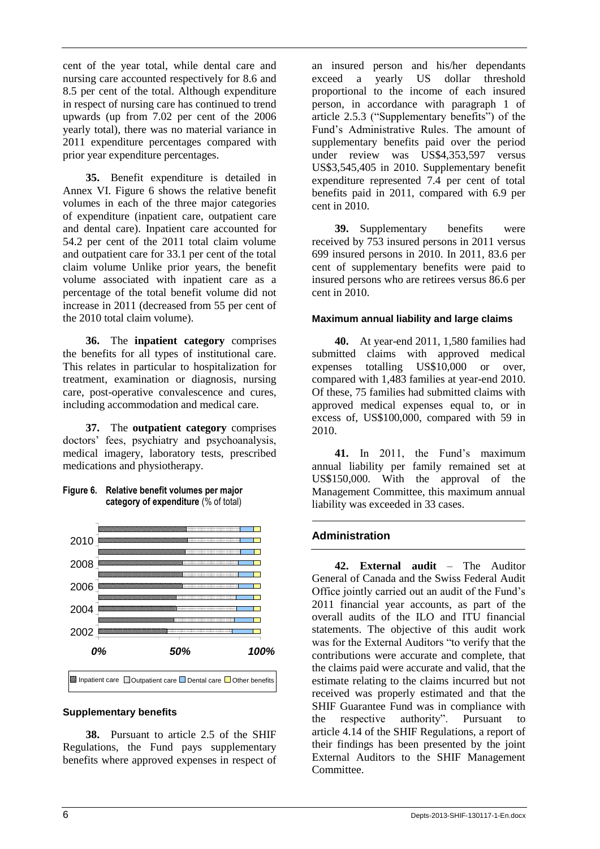cent of the year total, while dental care and nursing care accounted respectively for 8.6 and 8.5 per cent of the total. Although expenditure in respect of nursing care has continued to trend upwards (up from 7.02 per cent of the 2006 yearly total), there was no material variance in 2011 expenditure percentages compared with prior year expenditure percentages.

**35.** Benefit expenditure is detailed in Annex VI. Figure 6 shows the relative benefit volumes in each of the three major categories of expenditure (inpatient care, outpatient care and dental care). Inpatient care accounted for 54.2 per cent of the 2011 total claim volume and outpatient care for 33.1 per cent of the total claim volume Unlike prior years, the benefit volume associated with inpatient care as a percentage of the total benefit volume did not increase in 2011 (decreased from 55 per cent of the 2010 total claim volume).

**36.** The **inpatient category** comprises the benefits for all types of institutional care. This relates in particular to hospitalization for treatment, examination or diagnosis, nursing care, post-operative convalescence and cures, including accommodation and medical care.

**37.** The **outpatient category** comprises doctors' fees, psychiatry and psychoanalysis, medical imagery, laboratory tests, prescribed medications and physiotherapy.



### **Figure 6. Relative benefit volumes per major category of expenditure** (% of total)

### **Supplementary benefits**

**38.** Pursuant to article 2.5 of the SHIF Regulations, the Fund pays supplementary benefits where approved expenses in respect of an insured person and his/her dependants exceed a yearly US dollar threshold proportional to the income of each insured person, in accordance with paragraph 1 of article 2.5.3 ("Supplementary benefits") of the Fund's Administrative Rules. The amount of supplementary benefits paid over the period under review was US\$4,353,597 versus US\$3,545,405 in 2010. Supplementary benefit expenditure represented 7.4 per cent of total benefits paid in 2011, compared with 6.9 per cent in 2010.

**39.** Supplementary benefits were received by 753 insured persons in 2011 versus 699 insured persons in 2010. In 2011, 83.6 per cent of supplementary benefits were paid to insured persons who are retirees versus 86.6 per cent in 2010.

### **Maximum annual liability and large claims**

**40.** At year-end 2011, 1,580 families had submitted claims with approved medical expenses totalling US\$10,000 or over, compared with 1,483 families at year-end 2010. Of these, 75 families had submitted claims with approved medical expenses equal to, or in excess of, US\$100,000, compared with 59 in 2010.

**41.** In 2011, the Fund's maximum annual liability per family remained set at US\$150,000. With the approval of the Management Committee, this maximum annual liability was exceeded in 33 cases.

# **Administration**

**42. External audit** – The Auditor General of Canada and the Swiss Federal Audit Office jointly carried out an audit of the Fund's 2011 financial year accounts, as part of the overall audits of the ILO and ITU financial statements. The objective of this audit work was for the External Auditors "to verify that the contributions were accurate and complete, that the claims paid were accurate and valid, that the estimate relating to the claims incurred but not received was properly estimated and that the SHIF Guarantee Fund was in compliance with the respective authority". Pursuant to article 4.14 of the SHIF Regulations, a report of their findings has been presented by the joint External Auditors to the SHIF Management Committee.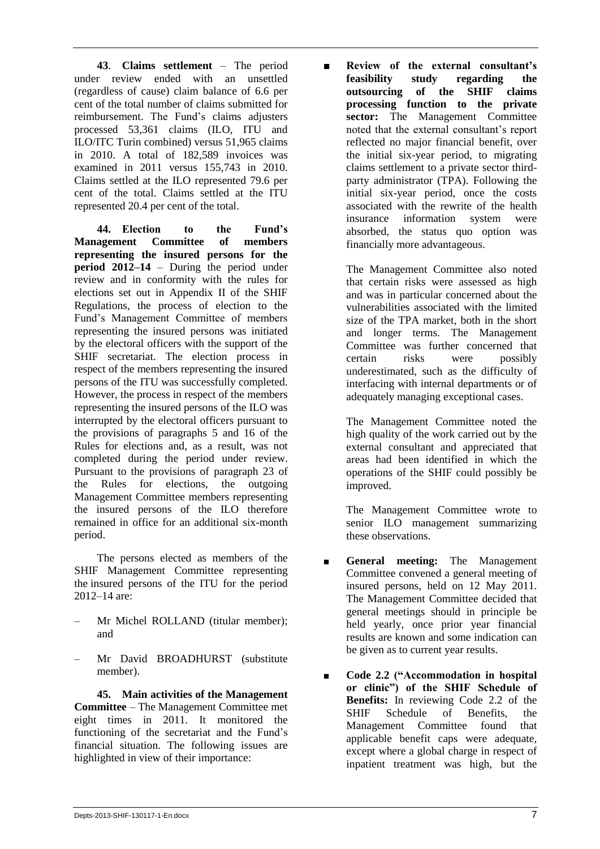**43**. **Claims settlement** – The period under review ended with an unsettled (regardless of cause) claim balance of 6.6 per cent of the total number of claims submitted for reimbursement. The Fund's claims adjusters processed 53,361 claims (ILO, ITU and ILO/ITC Turin combined) versus 51,965 claims in 2010. A total of 182,589 invoices was examined in 2011 versus 155,743 in 2010. Claims settled at the ILO represented 79.6 per cent of the total. Claims settled at the ITU represented 20.4 per cent of the total.

**44. Election to the Fund's Management Committee of members representing the insured persons for the period 2012–14** – During the period under review and in conformity with the rules for elections set out in Appendix II of the SHIF Regulations, the process of election to the Fund's Management Committee of members representing the insured persons was initiated by the electoral officers with the support of the SHIF secretariat. The election process in respect of the members representing the insured persons of the ITU was successfully completed. However, the process in respect of the members representing the insured persons of the ILO was interrupted by the electoral officers pursuant to the provisions of paragraphs 5 and 16 of the Rules for elections and, as a result, was not completed during the period under review. Pursuant to the provisions of paragraph 23 of the Rules for elections, the outgoing Management Committee members representing the insured persons of the ILO therefore remained in office for an additional six-month period.

The persons elected as members of the SHIF Management Committee representing the insured persons of the ITU for the period 2012–14 are:

- Mr Michel ROLLAND (titular member); and
- Mr David BROADHURST (substitute member).

**45. Main activities of the Management Committee** – The Management Committee met eight times in 2011. It monitored the functioning of the secretariat and the Fund's financial situation. The following issues are highlighted in view of their importance:

■ **Review of the external consultant's feasibility study regarding the outsourcing of the SHIF claims processing function to the private sector:** The Management Committee noted that the external consultant's report reflected no major financial benefit, over the initial six-year period, to migrating claims settlement to a private sector thirdparty administrator (TPA). Following the initial six-year period, once the costs associated with the rewrite of the health insurance information system were absorbed, the status quo option was financially more advantageous.

> The Management Committee also noted that certain risks were assessed as high and was in particular concerned about the vulnerabilities associated with the limited size of the TPA market, both in the short and longer terms. The Management Committee was further concerned that certain risks were possibly underestimated, such as the difficulty of interfacing with internal departments or of adequately managing exceptional cases.

> The Management Committee noted the high quality of the work carried out by the external consultant and appreciated that areas had been identified in which the operations of the SHIF could possibly be improved.

> The Management Committee wrote to senior ILO management summarizing these observations.

- **General meeting:** The Management Committee convened a general meeting of insured persons, held on 12 May 2011. The Management Committee decided that general meetings should in principle be held yearly, once prior year financial results are known and some indication can be given as to current year results.
- **Code 2.2** ("Accommodation in hospital **or clinic") of the SHIF Schedule of Benefits:** In reviewing Code 2.2 of the SHIF Schedule of Benefits, the Management Committee found that applicable benefit caps were adequate, except where a global charge in respect of inpatient treatment was high, but the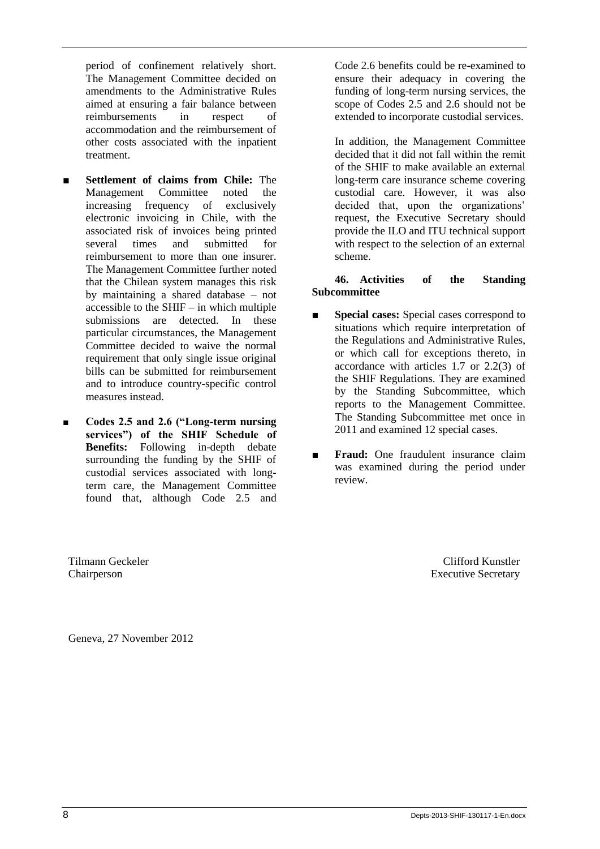period of confinement relatively short. The Management Committee decided on amendments to the Administrative Rules aimed at ensuring a fair balance between reimbursements in respect of accommodation and the reimbursement of other costs associated with the inpatient treatment.

- **Settlement of claims from Chile:** The Management Committee noted the increasing frequency of exclusively electronic invoicing in Chile, with the associated risk of invoices being printed several times and submitted for reimbursement to more than one insurer. The Management Committee further noted that the Chilean system manages this risk by maintaining a shared database – not accessible to the SHIF – in which multiple submissions are detected. In these particular circumstances, the Management Committee decided to waive the normal requirement that only single issue original bills can be submitted for reimbursement and to introduce country-specific control measures instead.
- **■ Codes 2.5 and 2.6 ("Long-term nursing services") of the SHIF Schedule of Benefits:** Following in-depth debate surrounding the funding by the SHIF of custodial services associated with longterm care, the Management Committee found that, although Code 2.5 and

Tilmann Geckeler Chairperson

Code 2.6 benefits could be re-examined to ensure their adequacy in covering the funding of long-term nursing services, the scope of Codes 2.5 and 2.6 should not be extended to incorporate custodial services.

In addition, the Management Committee decided that it did not fall within the remit of the SHIF to make available an external long-term care insurance scheme covering custodial care. However, it was also decided that, upon the organizations' request, the Executive Secretary should provide the ILO and ITU technical support with respect to the selection of an external scheme.

# **46. Activities of the Standing Subcommittee**

- **Special cases:** Special cases correspond to situations which require interpretation of the Regulations and Administrative Rules, or which call for exceptions thereto, in accordance with articles 1.7 or 2.2(3) of the SHIF Regulations. They are examined by the Standing Subcommittee, which reports to the Management Committee. The Standing Subcommittee met once in 2011 and examined 12 special cases.
- **Fraud:** One fraudulent insurance claim was examined during the period under review.

Clifford Kunstler Executive Secretary

Geneva, 27 November 2012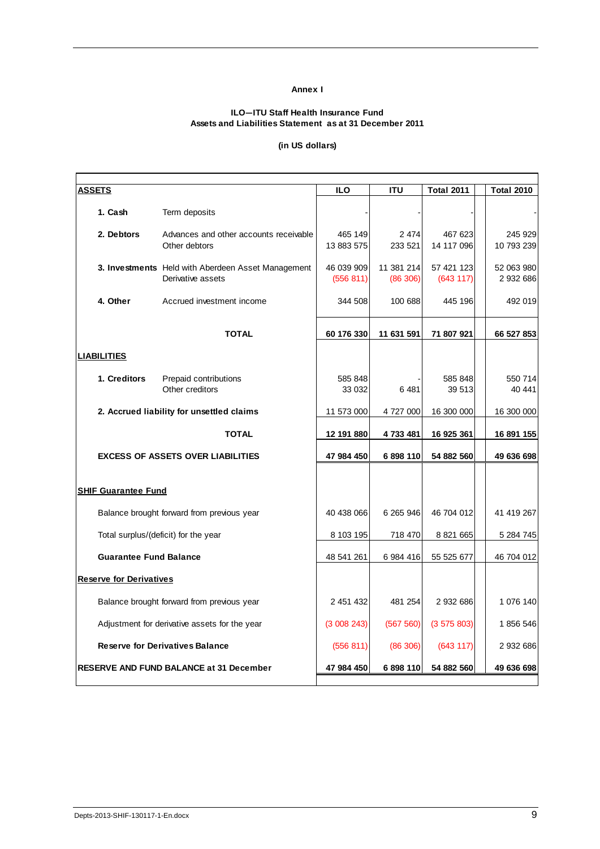#### **Annex I**

#### **ILO—ITU Staff Health Insurance Fund Assets and Liabilities Statement as at 31 December 2011**

### **(in US dollars)**

| <b>ASSETS</b>                  |                                                                         | <b>ILO</b>              | <b>ITU</b>             | <b>Total 2011</b>       | <b>Total 2010</b>     |
|--------------------------------|-------------------------------------------------------------------------|-------------------------|------------------------|-------------------------|-----------------------|
| 1. Cash                        | Term deposits                                                           |                         |                        |                         |                       |
| 2. Debtors                     | Advances and other accounts receivable<br>Other debtors                 | 465 149<br>13 883 575   | 2 4 7 4<br>233 521     | 467 623<br>14 117 096   | 245 929<br>10 793 239 |
|                                | 3. Investments Held with Aberdeen Asset Management<br>Derivative assets | 46 039 909<br>(556 811) | 11 381 214<br>(86 306) | 57 421 123<br>(643 117) | 52 063 980<br>2932686 |
| 4. Other                       | Accrued investment income                                               | 344 508                 | 100 688                | 445 196                 | 492 019               |
|                                | <b>TOTAL</b>                                                            | 60 176 330              | 11 631 591             | 71 807 921              | 66 527 853            |
| <b>LIABILITIES</b>             |                                                                         |                         |                        |                         |                       |
| 1. Creditors                   | Prepaid contributions<br>Other creditors                                | 585 848<br>33 032       | 6481                   | 585 848<br>39 513       | 550 714<br>40 441     |
|                                | 2. Accrued liability for unsettled claims                               | 11 573 000              | 4 727 000              | 16 300 000              | 16 300 000            |
|                                | <b>TOTAL</b>                                                            | 12 191 880              | 4733481                | 16 925 361              | 16 891 155            |
|                                | <b>EXCESS OF ASSETS OVER LIABILITIES</b>                                | 47 984 450              | 6898110                | 54 882 560              | 49 636 698            |
| <b>SHIF Guarantee Fund</b>     |                                                                         |                         |                        |                         |                       |
|                                | Balance brought forward from previous year                              | 40 438 066              | 6 265 946              | 46 704 012              | 41 419 267            |
|                                | Total surplus/(deficit) for the year                                    | 8 103 195               | 718 470                | 8 8 21 6 6 5            | 5 284 745             |
| <b>Guarantee Fund Balance</b>  |                                                                         | 48 541 261              | 6 984 416              | 55 525 677              | 46 704 012            |
| <b>Reserve for Derivatives</b> |                                                                         |                         |                        |                         |                       |
|                                | Balance brought forward from previous year                              | 2 451 432               | 481 254                | 2 932 686               | 1 076 140             |
|                                | Adjustment for derivative assets for the year                           | (3008243)               | (567 560)              | (3575803)               | 1856 546              |
|                                | <b>Reserve for Derivatives Balance</b>                                  | (556 811)               | (86 306)               | (643 117)               | 2 932 686             |
|                                | <b>RESERVE AND FUND BALANCE at 31 December</b>                          | 47 984 450              | 6 898 110              | 54 882 560              | 49 636 698            |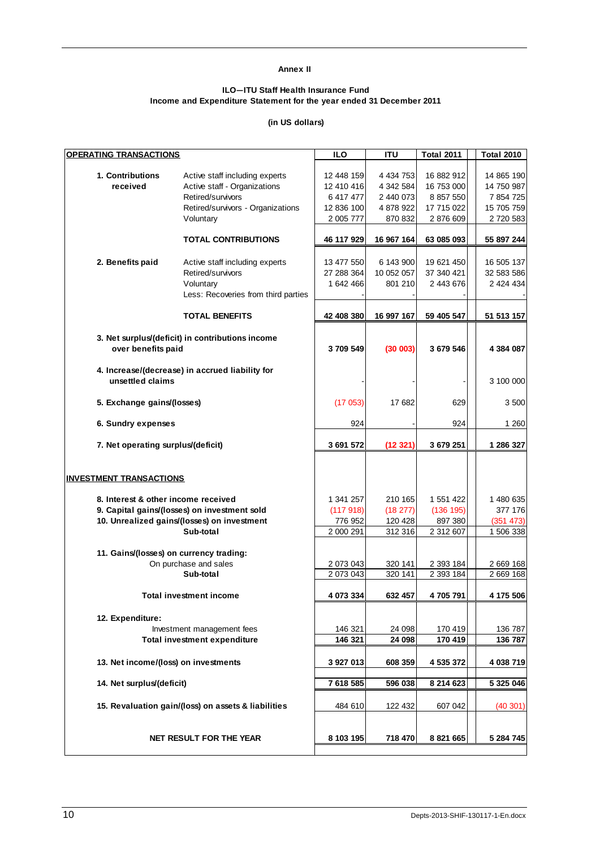#### **Annex II**

#### **ILO—ITU Staff Health Insurance Fund Income and Expenditure Statement for the year ended 31 December 2011**

### **(in US dollars)**

| <b>OPERATING TRANSACTIONS</b>           |                                                     | <b>ILO</b> | <b>ITU</b>    | <b>Total 2011</b> | <b>Total 2010</b> |
|-----------------------------------------|-----------------------------------------------------|------------|---------------|-------------------|-------------------|
|                                         |                                                     |            |               |                   |                   |
| 1. Contributions                        | Active staff including experts                      | 12 448 159 | 4 4 3 4 7 5 3 | 16 882 912        | 14 865 190        |
| received                                | Active staff - Organizations                        | 12 410 416 | 4 342 584     | 16 753 000        | 14 750 987        |
|                                         | Retired/survivors                                   | 6 417 477  | 2 440 073     | 8 8 5 7 5 5 0     | 7 854 725         |
|                                         | Retired/survivors - Organizations                   | 12 836 100 | 4 878 922     | 17 715 022        | 15 705 759        |
|                                         | Voluntary                                           | 2 005 777  | 870 832       | 2 876 609         | 2 720 583         |
|                                         |                                                     |            |               |                   |                   |
|                                         | <b>TOTAL CONTRIBUTIONS</b>                          | 46 117 929 | 16 967 164    | 63 085 093        | 55 897 244        |
|                                         |                                                     |            |               |                   |                   |
| 2. Benefits paid                        | Active staff including experts                      | 13 477 550 | 6 143 900     | 19 621 450        | 16 505 137        |
|                                         | Retired/survivors                                   | 27 288 364 | 10 052 057    | 37 340 421        | 32 583 586        |
|                                         | Voluntarv                                           | 1 642 466  | 801 210       | 2 443 676         | 2 424 434         |
|                                         | Less: Recoveries from third parties                 |            |               |                   |                   |
|                                         | <b>TOTAL BENEFITS</b>                               | 42 408 380 | 16 997 167    | 59 405 547        | 51 513 157        |
|                                         |                                                     |            |               |                   |                   |
|                                         | 3. Net surplus/(deficit) in contributions income    |            |               |                   |                   |
| over benefits paid                      |                                                     | 3709549    | (30003)       | 3 679 546         | 4 384 087         |
|                                         | 4. Increase/(decrease) in accrued liability for     |            |               |                   |                   |
| unsettled claims                        |                                                     |            |               |                   | 3 100 000         |
|                                         |                                                     |            |               |                   |                   |
| 5. Exchange gains/(losses)              |                                                     | (17053)    | 17682         | 629               | 3 500             |
|                                         |                                                     |            |               |                   |                   |
| 6. Sundry expenses                      |                                                     | 924        |               | 924               | 1 2 6 0           |
| 7. Net operating surplus/(deficit)      |                                                     | 3 691 572  | (12321)       | 3 679 251         | 1 286 327         |
|                                         |                                                     |            |               |                   |                   |
|                                         |                                                     |            |               |                   |                   |
| <b>INVESTMENT TRANSACTIONS</b>          |                                                     |            |               |                   |                   |
| 8. Interest & other income received     |                                                     | 1 341 257  | 210 165       | 1 551 422         | 1 480 635         |
|                                         | 9. Capital gains/(losses) on investment sold        |            |               |                   | 377 176           |
|                                         |                                                     | (117918)   | (18 277)      | (136 195)         |                   |
|                                         | 10. Unrealized gains/(losses) on investment         | 776 952    | 120 428       | 897 380           | (351 473)         |
|                                         | Sub-total                                           | 2 000 291  | 312 316       | 2 312 607         | 1 506 338         |
|                                         |                                                     |            |               |                   |                   |
| 11. Gains/(losses) on currency trading: |                                                     |            |               |                   |                   |
|                                         | On purchase and sales                               | 2 073 043  | 320 141       | 2 393 184         | 2 669 168         |
|                                         | Sub-total                                           | 2 073 043  | 320 141       | 2 393 184         | 2 669 168         |
|                                         | <b>Total investment income</b>                      | 4 073 334  | 632 457       | 4705791           | 4 175 506         |
|                                         |                                                     |            |               |                   |                   |
| 12. Expenditure:                        |                                                     |            |               |                   |                   |
|                                         | Investment management fees                          | 146 321    | 24 098        | 170 419           | 136 787           |
|                                         | <b>Total investment expenditure</b>                 | 146 321    | 24 098        | 170 419           | 136 787           |
|                                         |                                                     |            |               |                   |                   |
| 13. Net income/(loss) on investments    |                                                     | 3 927 013  | 608 359       | 4 535 372         | 4 038 719         |
|                                         |                                                     |            |               |                   |                   |
| 14. Net surplus/(deficit)               |                                                     | 7 618 585  | 596 038       | 8 214 623         | 5 325 046         |
|                                         |                                                     |            |               |                   |                   |
|                                         | 15. Revaluation gain/(loss) on assets & liabilities | 484 610    | 122 432       | 607 042           | (40301)           |
|                                         |                                                     |            |               |                   |                   |
|                                         |                                                     |            |               |                   |                   |
|                                         | NET RESULT FOR THE YEAR                             | 8 103 195  | 718 470       | 8 8 21 6 6 5      | 5 284 745         |
|                                         |                                                     |            |               |                   |                   |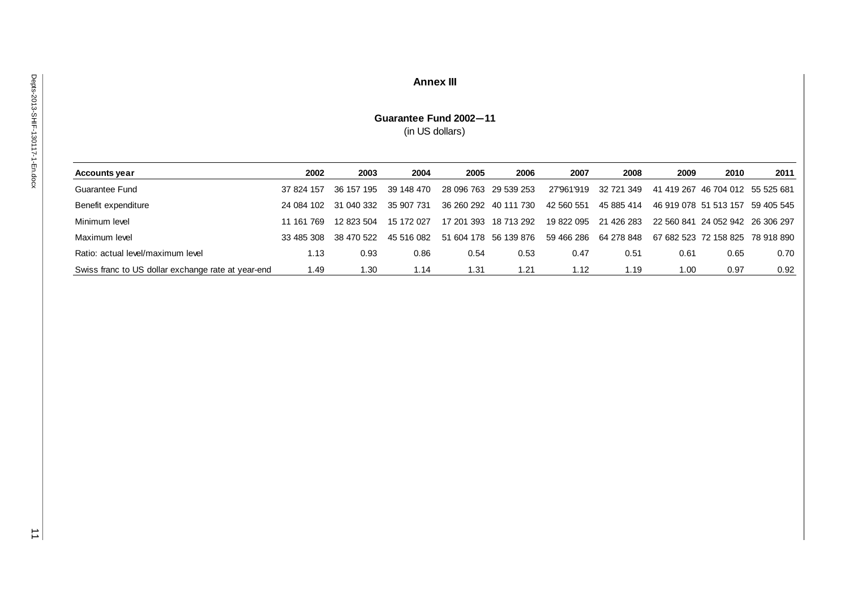# **Annex III**

# **Guarantee Fund 2002—11** (in US dollars)

| <b>Accounts year</b>                               | 2002       | 2003       | 2004       | 2005       | 2006                  | 2007       | 2008       | 2009                  | 2010                             | 2011                             |
|----------------------------------------------------|------------|------------|------------|------------|-----------------------|------------|------------|-----------------------|----------------------------------|----------------------------------|
| Guarantee Fund                                     | 37 824 157 | 36 157 195 | 39 148 470 |            | 28 096 763 29 539 253 | 27'961'919 | 32 721 349 |                       | 41 419 267 46 704 012 55 525 681 |                                  |
| Benefit expenditure                                | 24 084 102 | 31 040 332 | 35 907 731 |            | 36 260 292 40 111 730 | 42 560 551 | 45 885 414 | 46 919 078 51 513 157 |                                  | 59 405 545                       |
| Minimum level                                      | 11 161 769 | 12 823 504 | 15 172 027 | 17 201 393 | 18 713 292            | 19 822 095 | 21 426 283 | 22 560 841            | 24 052 942 26 306 297            |                                  |
| Maximum level                                      | 33 485 308 | 38 470 522 | 45 516 082 |            | 51 604 178 56 139 876 | 59 466 286 | 64 278 848 |                       |                                  | 67 682 523 72 158 825 78 918 890 |
| Ratio: actual level/maximum level                  | 1.13       | 0.93       | 0.86       | 0.54       | 0.53                  | 0.47       | 0.51       | 0.61                  | 0.65                             | 0.70                             |
| Swiss franc to US dollar exchange rate at year-end | 1.49       | 1.30       | 1.14       | l.31       | 1.21                  | 1.12       | 1.19       | 00. ا                 | 0.97                             | 0.92                             |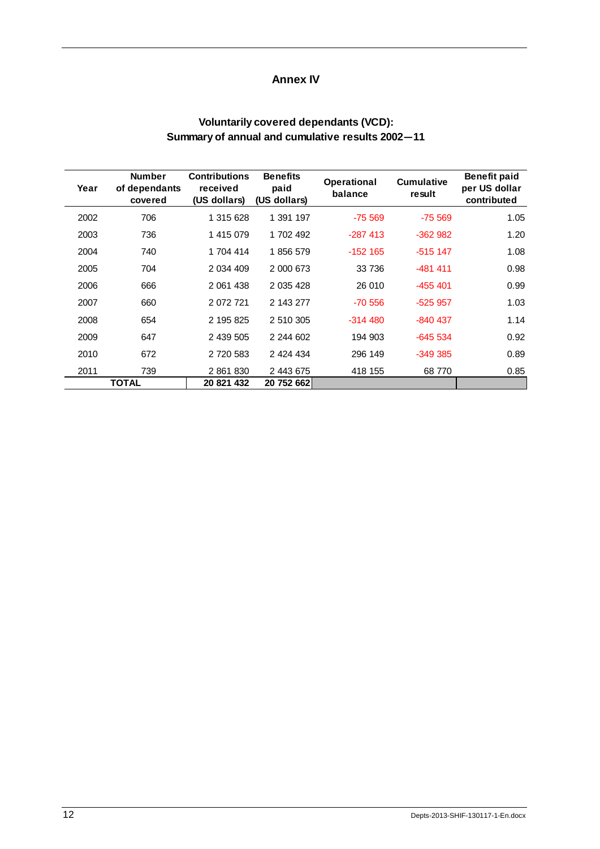# **Annex IV**

# **Voluntarily covered dependants (VCD): Summary of annual and cumulative results 2002—11**

| Year | <b>Number</b><br>of dependants<br>covered | <b>Contributions</b><br>received<br>(US dollars) | <b>Benefits</b><br>paid<br>(US dollars) | Operational<br>balance | <b>Cumulative</b><br>result | <b>Benefit paid</b><br>per US dollar<br>contributed |
|------|-------------------------------------------|--------------------------------------------------|-----------------------------------------|------------------------|-----------------------------|-----------------------------------------------------|
| 2002 | 706                                       | 1 315 628                                        | 1 391 197                               | $-75569$               | $-75.569$                   | 1.05                                                |
| 2003 | 736                                       | 1 415 079                                        | 1 702 492                               | $-287413$              | $-362982$                   | 1.20                                                |
| 2004 | 740                                       | 1 704 414                                        | 1856 579                                | $-152$ 165             | $-515$ 147                  | 1.08                                                |
| 2005 | 704                                       | 2 034 409                                        | 2 000 673                               | 33 736                 | $-481411$                   | 0.98                                                |
| 2006 | 666                                       | 2 061 438                                        | 2 0 3 4 4 2 8                           | 26 010                 | $-455401$                   | 0.99                                                |
| 2007 | 660                                       | 2 072 721                                        | 2 143 277                               | $-70.556$              | $-525957$                   | 1.03                                                |
| 2008 | 654                                       | 2 195 825                                        | 2 510 305                               | $-314.480$             | $-840437$                   | 1.14                                                |
| 2009 | 647                                       | 2 439 505                                        | 2 244 602                               | 194 903                | $-645534$                   | 0.92                                                |
| 2010 | 672                                       | 2 720 583                                        | 2 424 434                               | 296 149                | $-349.385$                  | 0.89                                                |
| 2011 | 739                                       | 2 861 830                                        | 2 443 675                               | 418 155                | 68 770                      | 0.85                                                |
|      | <b>TOTAL</b>                              | 20 821 432                                       | 20 752 662                              |                        |                             |                                                     |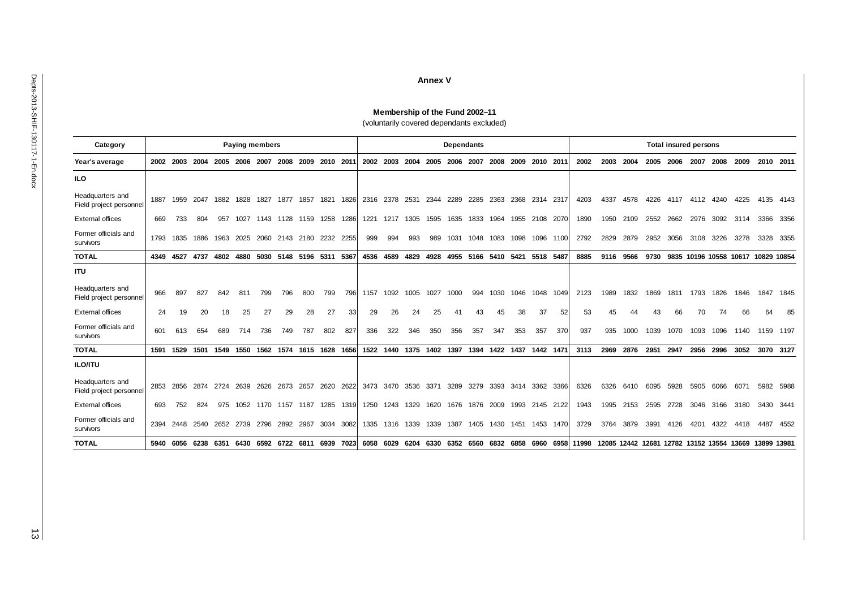#### **Annex V**

#### **Membership of the Fund 2002–11** (voluntarily covered dependants excluded)

| Category                                    |      |      |      |      | <b>Paying members</b> |      |      |                               |      |      |      |           |      |      |                          | <b>Dependants</b> |      |      |           | <b>Total insured persons</b> |                                                      |      |      |      |      |      |      |                                    |             |           |
|---------------------------------------------|------|------|------|------|-----------------------|------|------|-------------------------------|------|------|------|-----------|------|------|--------------------------|-------------------|------|------|-----------|------------------------------|------------------------------------------------------|------|------|------|------|------|------|------------------------------------|-------------|-----------|
| Year's average                              | 2002 | 2003 | 2004 | 2005 | 2006                  | 2007 | 2008 | 2009                          | 2010 | 2011 | 2002 | 2003      | 2004 | 2005 | 2006                     | 2007              | 2008 | 2009 | 2010      | 201'                         | 2002                                                 | 2003 | 2004 | 2005 | 2006 | 2007 | 2008 | 2009                               | 2010        | 2011      |
| ILO                                         |      |      |      |      |                       |      |      |                               |      |      |      |           |      |      |                          |                   |      |      |           |                              |                                                      |      |      |      |      |      |      |                                    |             |           |
| Headquarters and<br>Field project personnel | 1887 | 1959 | 2047 | 1882 | 1828                  | 1827 | 1877 | 1857                          | 1821 | 1826 | 2316 | 2378      | 2531 | 2344 | 2289                     | 2285              | 2363 | 2368 | 2314 2317 |                              | 4203                                                 | 4337 | 4578 | 4226 | 4117 | 4112 | 4240 | 4225                               | 4135        | 4143      |
| <b>External offices</b>                     | 669  | 733  | 804  | 957  | 1027                  | 1143 | 1128 | 1159                          | 1258 | 1286 | 1221 | 1217      | 1305 | 1595 | 1635                     | 1833              | 1964 | 1955 | 2108      | 2070                         | 1890                                                 | 1950 | 2109 | 2552 | 2662 | 2976 | 3092 | 3114                               | 3366        | 3356      |
| Former officials and<br>survivors           | 1793 | 1835 | 1886 | 1963 | 2025                  | 2060 | 2143 | 2180                          | 2232 | 2255 | 999  | 994       | 993  | 989  | 1031                     | 1048              | 1083 | 1098 | 1096      | 1100                         | 2792                                                 | 2829 | 2879 | 2952 | 3056 | 3108 | 3226 | 3278                               | 3328        | 3355      |
| <b>TOTAL</b>                                | 4349 | 4527 | 4737 | 4802 |                       |      |      | 4880 5030 5148 5196 5311 5367 |      |      |      | 4536 4589 | 4829 | 4928 | 4955                     | 5166              | 5410 | 5421 | 5518 5487 |                              | 8885                                                 | 9116 | 9566 | 9730 |      |      |      | 9835 10196 10558 10617 10829 10854 |             |           |
| <b>ITU</b>                                  |      |      |      |      |                       |      |      |                               |      |      |      |           |      |      |                          |                   |      |      |           |                              |                                                      |      |      |      |      |      |      |                                    |             |           |
| Headquarters and<br>Field project personnel | 966  | 897  | 827  | 842  | 811                   | 799  | 796  | 800                           | 799  | 796  | 1157 | 1092      | 1005 | 1027 | 1000                     | 994               | 1030 | 1046 | 1048      | 1049                         | 2123                                                 | 1989 | 1832 | 1869 | 1811 | 1793 | 1826 | 1846                               | 1847        | 1845      |
| <b>External offices</b>                     | 24   | 19   | 20   | 18   | 25                    | 27   | 29   | 28                            | 27   | 33   | 29   | 26        | 24   | 25   | 41                       | 43                | 45   | 38   | 37        | 52                           | 53                                                   | 45   | 44   | 43   | 66   | 70   | 74   | 66                                 | 64          | 85        |
| Former officials and<br>survivors           | 601  | 613  | 654  | 689  | 714                   | 736  | 749  | 787                           | 802  | 827  | 336  | 322       | 346  | 350  | 356                      | 357               | 347  | 353  | 357       | 370                          | 937                                                  | 935  | 1000 | 1039 | 1070 | 1093 | 1096 | 1140                               | 1159        | 1197      |
| <b>TOTAL</b>                                | 1591 | 1529 | 1501 | 1549 | 1550 1562 1574        |      |      | 1615 1628 1656                |      |      |      |           |      |      | 1522 1440 1375 1402 1397 | 1394 1422 1437    |      |      | 1442      | 147'                         | 3113                                                 | 2969 | 2876 | 2951 | 2947 | 2956 | 2996 | 3052                               |             | 3070 3127 |
| <b>ILO/ITU</b>                              |      |      |      |      |                       |      |      |                               |      |      |      |           |      |      |                          |                   |      |      |           |                              |                                                      |      |      |      |      |      |      |                                    |             |           |
| Headquarters and<br>Field project personnel | 2853 | 2856 | 2874 | 2724 | 2639                  | 2626 | 2673 | 2657                          | 2620 | 2622 | 3473 | 3470      | 3536 | 3371 | 3289                     | 3279              | 3393 | 3414 | 3362      | 3366                         | 6326                                                 | 6326 | 6410 | 6095 | 5928 | 5905 | 6066 | 6071                               | 5982        | 5988      |
| <b>External offices</b>                     | 693  | 752  | 824  | 975  | 1052                  | 1170 | 1157 | 1187                          | 1285 | 1319 | 1250 | 1243      | 1329 | 1620 | 1676                     | 1876              | 2009 | 1993 | 2145 2122 |                              | 1943                                                 | 1995 | 2153 | 2595 | 2728 | 3046 | 3166 | 3180                               | 3430        | -3441     |
| Former officials and<br>survivors           | 2394 | 2448 | 2540 | 2652 | 2739 2796             |      | 2892 | 2967                          | 3034 | 3082 | 1335 | 1316      | 1339 | 1339 | 1387                     | 1405              | 1430 | 1451 | 1453      | 1470                         | 3729                                                 | 3764 | 3879 | 3991 | 4126 | 4201 | 4322 | 4418                               | 4487        | 4552      |
| <b>TOTAL</b>                                | 5940 | 6056 | 6238 | 6351 | 6430                  | 6592 | 6722 | 6811                          | 6939 | 7023 | 6058 | 6029      | 6204 | 6330 | 6352                     | 6560              | 6832 | 6858 | 6960      |                              | 6958 11998 12085 12442 12681 12782 13152 13554 13669 |      |      |      |      |      |      |                                    | 13899 13981 |           |